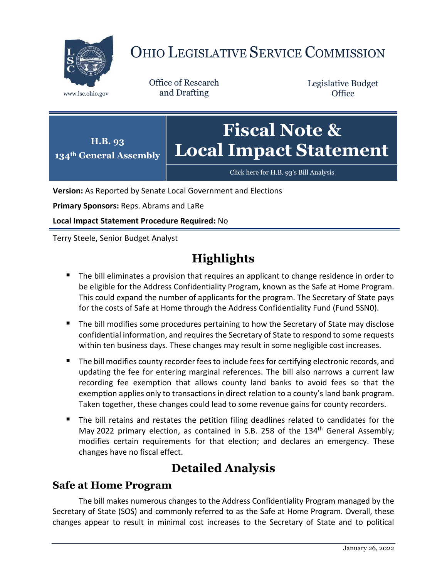

# OHIO LEGISLATIVE SERVICE COMMISSION

Office of Research www.lsc.ohio.gov and Drafting

Legislative Budget **Office** 



[Click here for H.B. 93](https://www.legislature.ohio.gov/legislation/legislation-documents?id=GA134-HB-93)'s Bill Analysis

**Version:** As Reported by Senate Local Government and Elections

**Primary Sponsors:** Reps. Abrams and LaRe

**Local Impact Statement Procedure Required:** No

Terry Steele, Senior Budget Analyst

# **Highlights**

- **The bill eliminates a provision that requires an applicant to change residence in order to** be eligible for the Address Confidentiality Program, known as the Safe at Home Program. This could expand the number of applicants for the program. The Secretary of State pays for the costs of Safe at Home through the Address Confidentiality Fund (Fund 5SN0).
- The bill modifies some procedures pertaining to how the Secretary of State may disclose confidential information, and requires the Secretary of State to respond to some requests within ten business days. These changes may result in some negligible cost increases.
- The bill modifies county recorder fees to include fees for certifying electronic records, and updating the fee for entering marginal references. The bill also narrows a current law recording fee exemption that allows county land banks to avoid fees so that the exemption applies only to transactions in direct relation to a county's land bank program. Taken together, these changes could lead to some revenue gains for county recorders.
- The bill retains and restates the petition filing deadlines related to candidates for the May 2022 primary election, as contained in S.B. 258 of the  $134<sup>th</sup>$  General Assembly; modifies certain requirements for that election; and declares an emergency. These changes have no fiscal effect.

## **Detailed Analysis**

#### **Safe at Home Program**

The bill makes numerous changes to the Address Confidentiality Program managed by the Secretary of State (SOS) and commonly referred to as the Safe at Home Program. Overall, these changes appear to result in minimal cost increases to the Secretary of State and to political